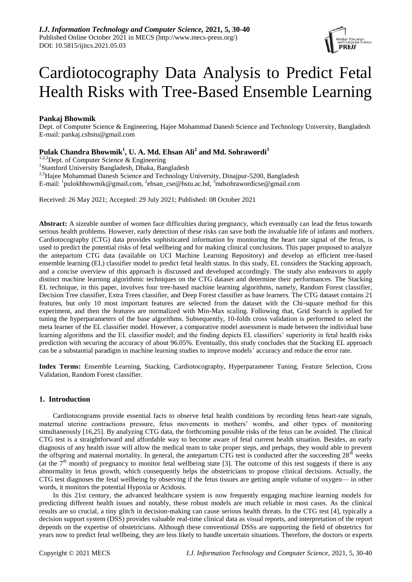

# Cardiotocography Data Analysis to Predict Fetal Health Risks with Tree-Based Ensemble Learning

## **Pankaj Bhowmik**

Dept. of Computer Science & Engineering, Hajee Mohammad Danesh Science and Technology University, Bangladesh E-mail: pankaj.cshstu@gmail.com

## **Pulak Chandra Bhowmik<sup>1</sup> , U. A. Md. Ehsan Ali<sup>2</sup> and Md. Sohrawordi<sup>3</sup>**

 $1,2,3$ Dept. of Computer Science & Engineering

<sup>1</sup>Stamford University Bangladesh, Dhaka, Bangladesh

<sup>2,3</sup>Hajee Mohammad Danesh Science and Technology University, Dinajpur-5200, Bangladesh E-mail: <sup>1</sup>[pulokbhowmik@gmail.com,](mailto:1pulokbhowmik@gmail.com) <sup>2</sup>[ehsan\\_cse@hstu.ac.bd,](mailto:ehsan_cse@hstu.ac.bd) <sup>3</sup>mdsohrawordicse@gmail.com

Received: 26 May 2021; Accepted: 29 July 2021; Published: 08 October 2021

**Abstract:** A sizeable number of women face difficulties during pregnancy, which eventually can lead the fetus towards serious health problems. However, early detection of these risks can save both the invaluable life of infants and mothers. Cardiotocography (CTG) data provides sophisticated information by monitoring the heart rate signal of the fetus, is used to predict the potential risks of fetal wellbeing and for making clinical conclusions. This paper proposed to analyze the antepartum CTG data (available on UCI Machine Learning Repository) and develop an efficient tree-based ensemble learning (EL) classifier model to predict fetal health status. In this study, EL considers the Stacking approach, and a concise overview of this approach is discussed and developed accordingly. The study also endeavors to apply distinct machine learning algorithmic techniques on the CTG dataset and determine their performances. The Stacking EL technique, in this paper, involves four tree-based machine learning algorithms, namely, Random Forest classifier, Decision Tree classifier, Extra Trees classifier, and Deep Forest classifier as base learners. The CTG dataset contains 21 features, but only 10 most important features are selected from the dataset with the Chi-square method for this experiment, and then the features are normalized with Min-Max scaling. Following that, Grid Search is applied for tuning the hyperparameters of the base algorithms. Subsequently, 10-folds cross validation is performed to select the meta learner of the EL classifier model. However, a comparative model assessment is made between the individual base learning algorithms and the EL classifier model; and the finding depicts EL classifiers' superiority in fetal health risks prediction with securing the accuracy of about 96.05%. Eventually, this study concludes that the Stacking EL approach can be a substantial paradigm in machine learning studies to improve models' accuracy and reduce the error rate.

**Index Terms:** Ensemble Learning, Stacking, Cardiotocography, Hyperparameter Tuning, Feature Selection, Cross Validation, Random Forest classifier.

## **1. Introduction**

Cardiotocograms provide essential facts to observe fetal health conditions by recording fetus heart-rate signals, maternal uterine contractions pressure, fetus movements in mothers' wombs, and other types of monitoring simultaneously [16,25]. By analyzing CTG data, the forthcoming possible risks of the fetus can be avoided. The clinical CTG test is a straightforward and affordable way to become aware of fetal current health situation. Besides, an early diagnosis of any health issue will allow the medical team to take proper steps, and perhaps, they would able to prevent the offspring and maternal mortality. In general, the antepartum CTG test is conducted after the succeeding 28<sup>th</sup> weeks (at the  $7<sup>th</sup>$  month) of pregnancy to monitor fetal wellbeing state [3]. The outcome of this test suggests if there is any abnormality in fetus growth, which consequently helps the obstetricians to propose clinical decisions. Actually, the CTG test diagnoses the fetal wellbeing by observing if the fetus tissues are getting ample volume of oxygen⸺ in other words, it monitors the potential Hypoxia or Acidosis.

In this 21st century, the advanced healthcare system is now frequently engaging machine learning models for predicting different health issues and notably, these robust models are much reliable in most cases. As the clinical results are so crucial, a tiny glitch in decision-making can cause serious health threats. In the CTG test [4], typically a decision support system (DSS) provides valuable real-time clinical data as visual reports, and interpretation of the report depends on the expertise of obstetricians. Although these conventional DSSs are supporting the field of obstetrics for years now to predict fetal wellbeing, they are less likely to handle uncertain situations. Therefore, the doctors or experts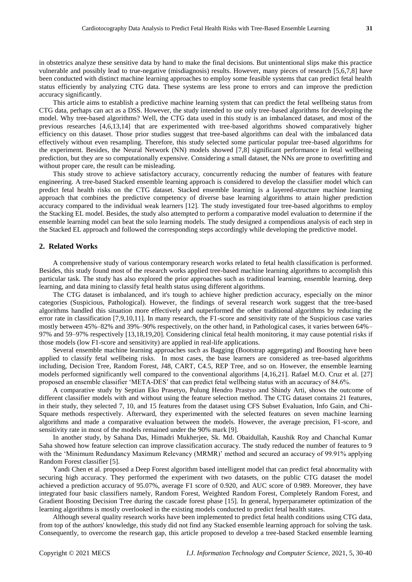in obstetrics analyze these sensitive data by hand to make the final decisions. But unintentional slips make this practice vulnerable and possibly lead to true-negative (misdiagnosis) results. However, many pieces of research [5,6,7,8] have been conducted with distinct machine learning approaches to employ some feasible systems that can predict fetal health status efficiently by analyzing CTG data. These systems are less prone to errors and can improve the prediction accuracy significantly.

This article aims to establish a predictive machine learning system that can predict the fetal wellbeing status from CTG data, perhaps can act as a DSS. However, the study intended to use only tree-based algorithms for developing the model. Why tree-based algorithms? Well, the CTG data used in this study is an imbalanced dataset, and most of the previous researches [4,6,13,14] that are experimented with tree-based algorithms showed comparatively higher efficiency on this dataset. Those prior studies suggest that tree-based algorithms can deal with the imbalanced data effectively without even resampling. Therefore, this study selected some particular popular tree-based algorithms for the experiment. Besides, the Neural Network (NN) models showed [7,8] significant performance in fetal wellbeing prediction, but they are so computationally expensive. Considering a small dataset, the NNs are prone to overfitting and without proper care, the result can be misleading.

This study strove to achieve satisfactory accuracy, concurrently reducing the number of features with feature engineering. A tree-based Stacked ensemble learning approach is considered to develop the classifier model which can predict fetal health risks on the CTG dataset. Stacked ensemble learning is a layered-structure machine learning approach that combines the predictive competency of diverse base learning algorithms to attain higher prediction accuracy compared to the individual weak learners [12]. The study investigated four tree-based algorithms to employ the Stacking EL model. Besides, the study also attempted to perform a comparative model evaluation to determine if the ensemble learning model can beat the solo learning models. The study designed a compendious analysis of each step in the Stacked EL approach and followed the corresponding steps accordingly while developing the predictive model.

## **2. Related Works**

A comprehensive study of various contemporary research works related to fetal health classification is performed. Besides, this study found most of the research works applied tree-based machine learning algorithms to accomplish this particular task. The study has also explored the prior approaches such as traditional learning, ensemble learning, deep learning, and data mining to classify fetal health status using different algorithms.

The CTG dataset is imbalanced, and it's tough to achieve higher prediction accuracy, especially on the minor categories (Suspicious, Pathological). However, the findings of several research work suggest that the tree-based algorithms handled this situation more effectively and outperformed the other traditional algorithms by reducing the error rate in classification [7,9,10,11]. In many research, the F1-score and sensitivity rate of the Suspicious case varies mostly between 45%–82% and 39%–90% respectively, on the other hand, in Pathological cases, it varies between 64%– 97% and 59–97% respectively [13,18,19,20]. Considering clinical fetal health monitoring, it may cause potential risks if those models (low F1-score and sensitivity) are applied in real-life applications.

Several ensemble machine learning approaches such as Bagging (Bootstrap aggregating) and Boosting have been applied to classify fetal wellbeing risks. In most cases, the base learners are considered as tree-based algorithms including, Decision Tree, Random Forest, J48, CART, C4.5, REP Tree, and so on. However, the ensemble learning models performed significantly well compared to the conventional algorithms [4,16,21]. Rafael M.O. Cruz et al. [27] proposed an ensemble classifier 'META-DES' that can predict fetal wellbeing status with an accuracy of 84.6%.

A comparative study by Septian Eko Prasetyo, Pulung Hendro Prastyo and Shindy Arti, shows the outcome of different classifier models with and without using the feature selection method. The CTG dataset contains 21 features, in their study, they selected 7, 10, and 15 features from the dataset using CFS Subset Evaluation, Info Gain, and Chi-Square methods respectively. Afterward, they experimented with the selected features on seven machine learning algorithms and made a comparative evaluation between the models. However, the average precision, F1-score, and sensitivity rate in most of the models remained under the 90% mark [9].

In another study, by Sahana Das, Himadri Mukherjee, Sk. Md. Obaidullah, Kaushik Roy and Chanchal Kumar Saha showed how feature selection can improve classification accuracy. The study reduced the number of features to 9 with the 'Minimum Redundancy Maximum Relevancy (MRMR)' method and secured an accuracy of 99.91% applying Random Forest classifier [5].

Yandi Chen et al. proposed a Deep Forest algorithm based intelligent model that can predict fetal abnormality with securing high accuracy. They performed the experiment with two datasets, on the public CTG dataset the model achieved a prediction accuracy of 95.07%, average F1 score of 0.920, and AUC score of 0.989. Moreover, they have integrated four basic classifiers namely, Random Forest, Weighted Random Forest, Completely Random Forest, and Gradient Boosting Decision Tree during the cascade forest phase [15]. In general, hyperparameter optimization of the learning algorithms is mostly overlooked in the existing models conducted to predict fetal health states.

Although several quality research works have been implemented to predict fetal health conditions using CTG data, from top of the authors' knowledge, this study did not find any Stacked ensemble learning approach for solving the task. Consequently, to overcome the research gap, this article proposed to develop a tree-based Stacked ensemble learning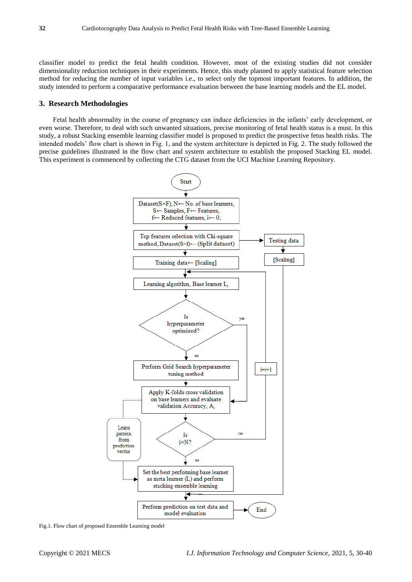classifier model to predict the fetal health condition. However, most of the existing studies did not consider dimensionality reduction techniques in their experiments. Hence, this study planned to apply statistical feature selection method for reducing the number of input variables i.e., to select only the topmost important features. In addition, the study intended to perform a comparative performance evaluation between the base learning models and the EL model.

## **3. Research Methodologies**

Fetal health abnormality in the course of pregnancy can induce deficiencies in the infants' early development, or even worse. Therefore, to deal with such unwanted situations, precise monitoring of fetal health status is a must. In this study, a robust Stacking ensemble learning classifier model is proposed to predict the prospective fetus health risks. The intended models' flow chart is shown in Fig. 1, and the system architecture is depicted in Fig. 2. The study followed the precise guidelines illustrated in the flow chart and system architecture to establish the proposed Stacking EL model. This experiment is commenced by collecting the CTG dataset from the UCI Machine Learning Repository.



Fig.1. Flow chart of proposed Ensemble Learning model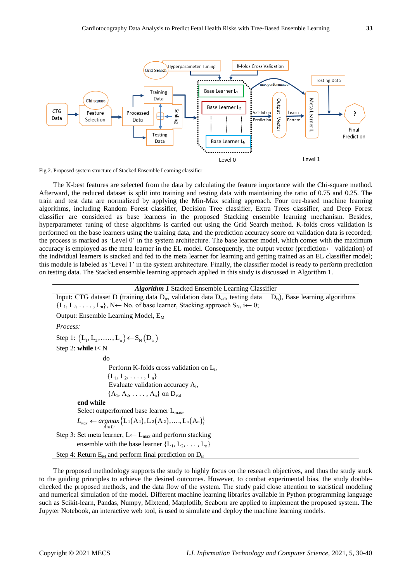

Fig.2. Proposed system structure of Stacked Ensemble Learning classifier

The K-best features are selected from the data by calculating the feature importance with the Chi-square method. Afterward, the reduced dataset is split into training and testing data with maintaining the ratio of 0.75 and 0.25. The train and test data are normalized by applying the Min-Max scaling approach. Four tree-based machine learning algorithms, including Random Forest classifier, Decision Tree classifier, Extra Trees classifier, and Deep Forest classifier are considered as base learners in the proposed Stacking ensemble learning mechanism. Besides, hyperparameter tuning of these algorithms is carried out using the Grid Search method. K-folds cross validation is performed on the base learners using the training data, and the prediction accuracy score on validation data is recorded; the process is marked as 'Level 0' in the system architecture. The base learner model, which comes with the maximum accuracy is employed as the meta learner in the EL model. Consequently, the output vector (prediction← validation) of the individual learners is stacked and fed to the meta learner for learning and getting trained as an EL classifier model; this module is labeled as 'Level 1' in the system architecture. Finally, the classifier model is ready to perform prediction on testing data. The Stacked ensemble learning approach applied in this study is discussed in Algorithm 1.

#### *Algorithm 1* Stacked Ensemble Learning Classifier

Input: CTG dataset D (training data  $D_{tr}$ , validation data  $D_{val}$ , testing data  $D_{ts}$ ), Base learning algorithms  ${L_1, L_2, \ldots, L_n}, N \leftarrow N$ o. of base learner, Stacking approach S<sub>N</sub>, i $\leftarrow 0$ ; Output: Ensemble Learning Model, E<sub>M</sub> *Process:* Step 1:  ${L_1, L_2, \ldots, L_n} \rightarrow S_N(D_{\rm tr})$ Step 2: **while** i< N do Perform K-folds cross validation on L<sub>i</sub>,  ${L_1, L_2, \ldots, L_n}$ Evaluate validation accuracy A<sub>i</sub>,  ${A_1, A_2, \ldots, A_n}$  on  $D_{val}$  **end while** Select outperformed base learner  $L_{\text{max}}$ , Select outperformed base learner L<sub>max</sub>,<br>  $L_{max} \leftarrow \underset{A_i \in L_i}{argmax} \left\{ L_1(A_1), L_2(A_2), \dots, L_n(A_n) \right\}$ Step 3: Set meta learner,  $L \leftarrow L_{\text{max}}$  and perform stacking ensemble with the base learner  ${L_1, L_2, \ldots, L_n}$ Step 4: Return  $E_M$  and perform final prediction on  $D_{ts}$ 

The proposed methodology supports the study to highly focus on the research objectives, and thus the study stuck to the guiding principles to achieve the desired outcomes. However, to combat experimental bias, the study doublechecked the proposed methods, and the data flow of the system. The study paid close attention to statistical modeling and numerical simulation of the model. Different machine learning libraries available in Python programming language such as Scikit-learn, Pandas, Numpy, Mlxtend, Matplotlib, Seaborn are applied to implement the proposed system. The Jupyter Notebook, an interactive web tool, is used to simulate and deploy the machine learning models.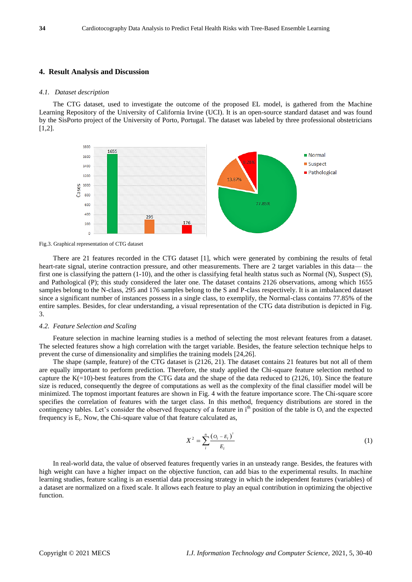### **4. Result Analysis and Discussion**

#### *4.1. Dataset description*

The CTG dataset, used to investigate the outcome of the proposed EL model, is gathered from the Machine Learning Repository of the University of California Irvine (UCI). It is an open-source standard dataset and was found by the SisPorto project of the University of Porto, Portugal. The dataset was labeled by three professional obstetricians [1,2].



Fig.3. Graphical representation of CTG dataset

There are 21 features recorded in the CTG dataset [1], which were generated by combining the results of fetal heart-rate signal, uterine contraction pressure, and other measurements. There are 2 target variables in this data— the first one is classifying the pattern (1-10), and the other is classifying fetal health status such as Normal (N), Suspect (S), and Pathological (P); this study considered the later one. The dataset contains 2126 observations, among which 1655 samples belong to the N-class, 295 and 176 samples belong to the S and P-class respectively. It is an imbalanced dataset since a significant number of instances possess in a single class, to exemplify, the Normal-class contains 77.85% of the entire samples. Besides, for clear understanding, a visual representation of the CTG data distribution is depicted in Fig. 3.

#### *4.2. Feature Selection and Scaling*

Feature selection in machine learning studies is a method of selecting the most relevant features from a dataset. The selected features show a high correlation with the target variable. Besides, the feature selection technique helps to prevent the curse of dimensionality and simplifies the training models [24,26].

The shape (sample, feature) of the CTG dataset is (2126, 21). The dataset contains 21 features but not all of them are equally important to perform prediction. Therefore, the study applied the Chi-square feature selection method to capture the  $K(=10)$ -best features from the CTG data and the shape of the data reduced to (2126, 10). Since the feature size is reduced, consequently the degree of computations as well as the complexity of the final classifier model will be minimized. The topmost important features are shown in Fig. 4 with the feature importance score. The Chi-square score specifies the correlation of features with the target class. In this method, frequency distributions are stored in the contingency tables. Let's consider the observed frequency of a feature in  $i<sup>th</sup>$  position of the table is  $O_i$  and the expected frequency is E<sub>i</sub>. Now, the Chi-square value of that feature calculated as,

$$
X^{2} = \sum_{i}^{n} \frac{(O_{i} - E_{i})^{2}}{E_{i}}
$$
 (1)

In real-world data, the value of observed features frequently varies in an unsteady range. Besides, the features with high weight can have a higher impact on the objective function, can add bias to the experimental results. In machine learning studies, feature scaling is an essential data processing strategy in which the independent features (variables) of a dataset are normalized on a fixed scale. It allows each feature to play an equal contribution in optimizing the objective function.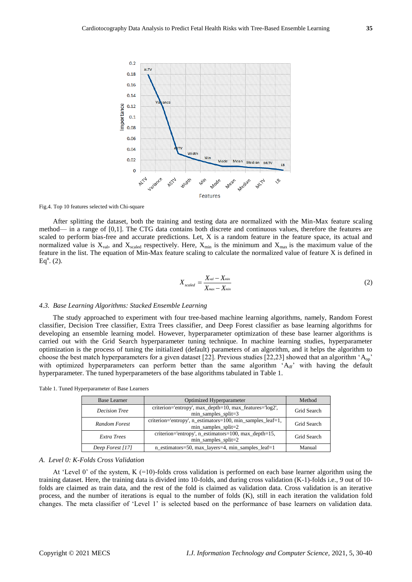

Fig.4. Top 10 features selected with Chi-square

After splitting the dataset, both the training and testing data are normalized with the Min-Max feature scaling method⸺ in a range of [0,1]. The CTG data contains both discrete and continuous values, therefore the features are scaled to perform bias-free and accurate predictions. Let, X is a random feature in the feature space, its actual and normalized value is  $X_{val}$ , and  $X_{scaled}$  respectively. Here,  $X_{min}$  is the minimum and  $X_{max}$  is the maximum value of the feature in the list. The equation of Min-Max feature scaling to calculate the normalized value of feature X is defined in  $Eq<sup>n</sup>$ . (2).

$$
X_{scaled} = \frac{X_{val} - X_{min}}{X_{max} - X_{min}}
$$
 (2)

#### *4.3. Base Learning Algorithms: Stacked Ensemble Learning*

The study approached to experiment with four tree-based machine learning algorithms, namely, Random Forest classifier, Decision Tree classifier, Extra Trees classifier, and Deep Forest classifier as base learning algorithms for developing an ensemble learning model. However, hyperparameter optimization of these base learner algorithms is carried out with the Grid Search hyperparameter tuning technique. In machine learning studies, hyperparameter optimization is the process of tuning the initialized (default) parameters of an algorithm, and it helps the algorithm to choose the best match hyperparameters for a given dataset [22]. Previous studies [22,23] showed that an algorithm 'Aop' with optimized hyperparameters can perform better than the same algorithm 'Adf' with having the default hyperparameter. The tuned hyperparameters of the base algorithms tabulated in Table 1.

| <b>Base Learner</b> | Optimized Hyperparameter                                                             | Method      |  |  |
|---------------------|--------------------------------------------------------------------------------------|-------------|--|--|
| Decision Tree       | criterion='entropy', max_depth=10, max_features='log2',<br>$min\_samples\_split = 3$ | Grid Search |  |  |
| Random Forest       | criterion='entropy', n_estimators=100, min_samples_leaf=1,<br>$min$ _samples_split=2 |             |  |  |
| Extra Trees         | criterion='entropy', n_estimators=100, max_depth=15,<br>$min$ _samples_split=2       | Grid Search |  |  |
| Deep Forest [17]    | n_estimators=50, max_layers=4, min_samples_leaf=1                                    | Manual      |  |  |

Table 1. Tuned Hyperparameter of Base Learners

#### *A. Level 0: K-Folds Cross Validation*

At 'Level 0' of the system, K  $(=10)$ -folds cross validation is performed on each base learner algorithm using the training dataset. Here, the training data is divided into 10-folds, and during cross validation (K-1)-folds i.e., 9 out of 10 folds are claimed as train data, and the rest of the fold is claimed as validation data. Cross validation is an iterative process, and the number of iterations is equal to the number of folds (K), still in each iteration the validation fold changes. The meta classifier of 'Level 1' is selected based on the performance of base learners on validation data.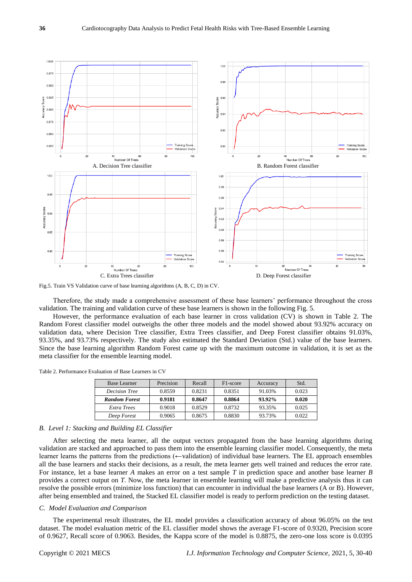

Fig.5. Train VS Validation curve of base learning algorithms (A, B, C, D) in CV.

Therefore, the study made a comprehensive assessment of these base learners' performance throughout the cross validation. The training and validation curve of these base learners is shown in the following Fig. 5.

However, the performance evaluation of each base learner in cross validation (CV) is shown in Table 2. The Random Forest classifier model outweighs the other three models and the model showed about 93.92% accuracy on validation data, where Decision Tree classifier, Extra Trees classifier, and Deep Forest classifier obtains 91.03%, 93.35%, and 93.73% respectively. The study also estimated the Standard Deviation (Std.) value of the base learners. Since the base learning algorithm Random Forest came up with the maximum outcome in validation, it is set as the meta classifier for the ensemble learning model.

Table 2. Performance Evaluation of Base Learners in CV

| <b>Base Learner</b>  | Precision | Recall | F <sub>1</sub> -score | Accuracy | Std.  |
|----------------------|-----------|--------|-----------------------|----------|-------|
| <b>Decision Tree</b> | 0.8559    | 0.8231 | 0.8351                | 91.03%   | 0.023 |
| <b>Random Forest</b> | 0.9181    | 0.8647 | 0.8864                | 93.92%   | 0.020 |
| Extra Trees          | 0.9018    | 0.8529 | 0.8732                | 93.35%   | 0.025 |
| Deep Forest          | 0.9065    | 0.8675 | 0.8830                | 93.73%   | 0.022 |

#### *B. Level 1: Stacking and Building EL Classifier*

After selecting the meta learner, all the output vectors propagated from the base learning algorithms during validation are stacked and approached to pass them into the ensemble learning classifier model. Consequently, the meta learner learns the patterns from the predictions (←validation) of individual base learners. The EL approach ensembles all the base learners and stacks their decisions, as a result, the meta learner gets well trained and reduces the error rate. For instance, let a base learner *A* makes an error on a test sample *T* in prediction space and another base learner *B* provides a correct output on *T*. Now, the meta learner in ensemble learning will make a predictive analysis thus it can resolve the possible errors (minimize loss function) that can encounter in individual the base learners (A or B). However, after being ensembled and trained, the Stacked EL classifier model is ready to perform prediction on the testing dataset.

#### *C. Model Evaluation and Comparison*

The experimental result illustrates, the EL model provides a classification accuracy of about 96.05% on the test dataset. The model evaluation metric of the EL classifier model shows the average F1-score of 0.9320, Precision score of 0.9627, Recall score of 0.9063. Besides, the Kappa score of the model is 0.8875, the zero-one loss score is 0.0395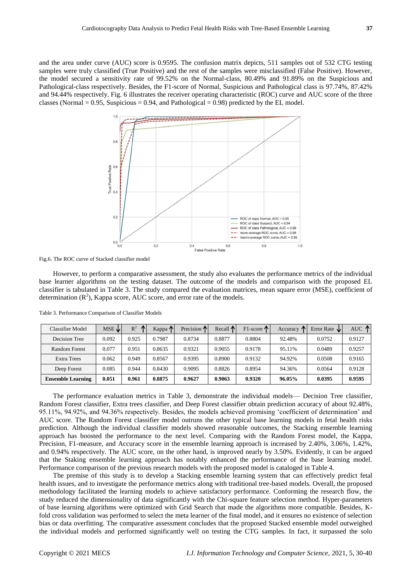and the area under curve (AUC) score is 0.9595. The confusion matrix depicts, 511 samples out of 532 CTG testing samples were truly classified (True Positive) and the rest of the samples were misclassified (False Positive). However, the model secured a sensitivity rate of 99.52% on the Normal-class, 80.49% and 91.89% on the Suspicious and Pathological-class respectively. Besides, the F1-score of Normal, Suspicious and Pathological class is 97.74%, 87.42% and 94.44% respectively. Fig. 6 illustrates the receiver operating characteristic (ROC) curve and AUC score of the three classes (Normal  $= 0.95$ , Suspicious  $= 0.94$ , and Pathological  $= 0.98$ ) predicted by the EL model.



Fig.6. The ROC curve of Stacked classifier model

However, to perform a comparative assessment, the study also evaluates the performance metrics of the individual base learner algorithms on the testing dataset. The outcome of the models and comparison with the proposed EL classifier is tabulated in Table 3. The study compared the evaluation matrices, mean square error (MSE), coefficient of determination  $(R^2)$ , Kappa score, AUC score, and error rate of the models.

| Classifier Model         | $MSE \psi$ | $R^2$<br>$\sqrt{2}$ | Kappa T | Precision $\uparrow$ | Recall $\uparrow$ | $F1$ -score $\mathbf{\Lambda}$ | Accuracy<br>m | Error Rate $\psi$ | AUC $\uparrow$ |
|--------------------------|------------|---------------------|---------|----------------------|-------------------|--------------------------------|---------------|-------------------|----------------|
| Decision Tree            | 0.092      | 0.925               | 0.7987  | 0.8734               | 0.8877            | 0.8804                         | 92.48%        | 0.0752            | 0.9127         |
| Random Forest            | 0.077      | 0.951               | 0.8635  | 0.9321               | 0.9055            | 0.9178                         | 95.11%        | 0.0489            | 0.9257         |
| <b>Extra Trees</b>       | 0.062      | 0.949               | 0.8567  | 0.9395               | 0.8900            | 0.9132                         | 94.92%        | 0.0508            | 0.9165         |
| Deep Forest              | 0.085      | 0.944               | 0.8430  | 0.9095               | 0.8826            | 0.8954                         | 94.36%        | 0.0564            | 0.9128         |
| <b>Ensemble Learning</b> | 0.051      | 0.961               | 0.8875  | 0.9627               | 0.9063            | 0.9320                         | 96.05%        | 0.0395            | 0.9595         |

Table 3. Performance Comparison of Classifier Models

The performance evaluation metrics in Table 3, demonstrate the individual models— Decision Tree classifier, Random Forest classifier, Extra trees classifier, and Deep Forest classifier obtain prediction accuracy of about 92.48%, 95.11%, 94.92%, and 94.36% respectively. Besides, the models achieved promising 'coefficient of determination' and AUC score. The Random Forest classifier model outruns the other typical base learning models in fetal health risks prediction. Although the individual classifier models showed reasonable outcomes, the Stacking ensemble learning approach has boosted the performance to the next level. Comparing with the Random Forest model, the Kappa, Precision, F1-measure, and Accuracy score in the ensemble learning approach is increased by 2.40%, 3.06%, 1.42%, and 0.94% respectively. The AUC score, on the other hand, is improved nearly by 3.50%. Evidently, it can be argued that the Staking ensemble learning approach has notably enhanced the performance of the base learning model. Performance comparison of the previous research models with the proposed model is cataloged in Table 4.

The premise of this study is to develop a Stacking ensemble learning system that can effectively predict fetal health issues, and to investigate the performance metrics along with traditional tree-based models. Overall, the proposed methodology facilitated the learning models to achieve satisfactory performance. Conforming the research flow, the study reduced the dimensionality of data significantly with the Chi-square feature selection method. Hyper-parameters of base learning algorithms were optimized with Grid Search that made the algorithms more compatible. Besides, Kfold cross validation was performed to select the meta learner of the final model, and it ensures no existence of selection bias or data overfitting. The comparative assessment concludes that the proposed Stacked ensemble model outweighed the individual models and performed significantly well on testing the CTG samples. In fact, it surpassed the solo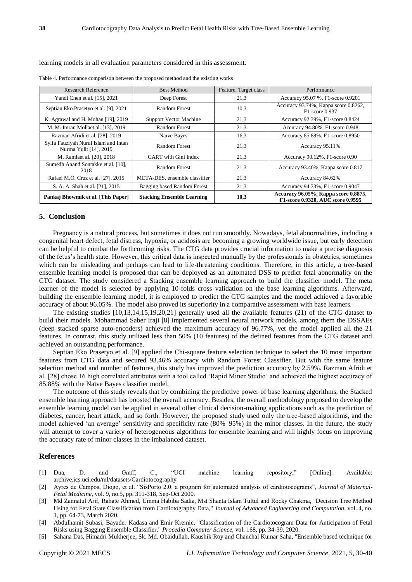#### learning models in all evaluation parameters considered in this assessment.

| <b>Research Reference</b>                                      | <b>Best Method</b>                | Feature, Target class | Performance                                                               |  |
|----------------------------------------------------------------|-----------------------------------|-----------------------|---------------------------------------------------------------------------|--|
| Yandi Chen et al. [15], 2021                                   | Deep Forest                       | 21,3                  | Accuracy 95.07 %, F1-score 0.9201                                         |  |
| Septian Eko Prasetyo et al. [9], 2021                          | Random Forest                     | 10.3                  | Accuracy 93.74%, Kappa score 0.8262,<br>F1-score 0.937                    |  |
| K. Agrawal and H. Mohan [19], 2019                             | <b>Support Vector Machine</b>     | 21,3                  | Accuracy 92.39%, F1-score 0.8424                                          |  |
| M. M. Imran Mollaet al. [13], 2019                             | Random Forest                     | 21,3                  | Accuracy 94.80%, F1-score 0.948                                           |  |
| Razman Afridi et al. [28], 2019                                | Na we Bayes                       | 16,3                  | Accuracy 85.88%, F1-score 0.8950                                          |  |
| Syifa Fauziyah Nurul Islam and Intan<br>Nurma Yulit [14], 2019 | Random Forest                     | 21,3                  | Accuracy 95.11%                                                           |  |
| M. Ramlaet al. [20], 2018                                      | CART with Gini Index              | 21,3                  | Accuracy 90.12%, F1-score 0.90                                            |  |
| Sumedh Anand Sontakke et al. [10],<br>2018                     | Random Forest                     | 21,3                  | Accuracy 93.40%, Kappa score 0.817                                        |  |
| Rafael M.O. Cruz et al. [27], 2015                             | META-DES, ensemble classifier     | 21,3                  | Accuracy 84.62%                                                           |  |
| S. A. A. Shah et al. [21], 2015                                | Bagging based Random Forest       | 21,3                  | Accuracy 94.73%, F1-score 0.9047                                          |  |
| Pankaj Bhowmik et al. [This Paper]                             | <b>Stacking Ensemble Learning</b> | 10,3                  | Accuracy 96.05%, Kappa score 0.8875,<br>F1-score 0.9320, AUC score 0.9595 |  |

Table 4. Performance comparison between the proposed method and the existing works

#### **5. Conclusion**

Pregnancy is a natural process, but sometimes it does not run smoothly. Nowadays, fetal abnormalities, including a congenital heart defect, fetal distress, hypoxia, or acidosis are becoming a growing worldwide issue, but early detection can be helpful to combat the forthcoming risks. The CTG data provides crucial information to make a precise diagnosis of the fetus's health state. However, this critical data is inspected manually by the professionals in obstetrics, sometimes which can be misleading and perhaps can lead to life-threatening conditions. Therefore, in this article, a tree-based ensemble learning model is proposed that can be deployed as an automated DSS to predict fetal abnormality on the CTG dataset. The study considered a Stacking ensemble learning approach to build the classifier model. The meta learner of the model is selected by applying 10-folds cross validation on the base learning algorithms. Afterward, building the ensemble learning model, it is employed to predict the CTG samples and the model achieved a favorable accuracy of about 96.05%. The model also proved its superiority in a comparative assessment with base learners.

The existing studies [10,13,14,15,19,20,21] generally used all the available features (21) of the CTG dataset to build their models. Mohammad Saber Iraji [8] implemented several neural network models, among them the DSSAEs (deep stacked sparse auto-encoders) achieved the maximum accuracy of 96.77%, yet the model applied all the 21 features. In contrast, this study utilized less than 50% (10 features) of the defined features from the CTG dataset and achieved an outstanding performance.

Septian Eko Prasetyo et al. [9] applied the Chi-square feature selection technique to select the 10 most important features from CTG data and secured 93.46% accuracy with Random Forest Classifier. But with the same feature selection method and number of features, this study has improved the prediction accuracy by 2.59%. Razman Afridi et al. [28] chose 16 high correlated attributes with a tool called 'Rapid Miner Studio' and achieved the highest accuracy of 85.88% with the Na ve Bayes classifier model.

The outcome of this study reveals that by combining the predictive power of base learning algorithms, the Stacked ensemble learning approach has boosted the overall accuracy. Besides, the overall methodology proposed to develop the ensemble learning model can be applied in several other clinical decision-making applications such as the prediction of diabetes, cancer, heart attack, and so forth. However, the proposed study used only the tree-based algorithms, and the model achieved 'an average' sensitivity and specificity rate (80%–95%) in the minor classes. In the future, the study will attempt to cover a variety of heterogeneous algorithms for ensemble learning and will highly focus on improving the accuracy rate of minor classes in the imbalanced dataset.

## **References**

- [1] Dua, D. and Graff, C., "UCI machine learning repository," [Online]. Available: archive.ics.uci.edu/ml/datasets/Cardiotocography
- [2] Ayres de Campos, Diogo, et al. "SisPorto 2.0: a program for automated analysis of cardiotocograms", *Journal of Maternal-Fetal Medicine*, vol. 9, no.5, pp. 311-318, Sep-Oct 2000.
- [3] Md Zannatul Arif, Rahate Ahmed, Umma Habiba Sadia, Mst Shanta Islam Tultul and Rocky Chakma, "Decision Tree Method Using for Fetal State Classification from Cardiotography Data," *Journal of Advanced Engineering and Computation*, vol. 4, no. 1, pp. 64-73, March 2020.
- [4] Abdulhamit Subasi, Bayader Kadasa and Emir Kremic, "Classification of the Cardiotocogram Data for Anticipation of Fetal Risks using Bagging Ensemble Classifier," *Procedia Computer Science*, vol. 168, pp. 34-39, 2020.
- [5] Sahana Das, Himadri Mukherjee, Sk. Md. Obaidullah, Kaushik Roy and Chanchal Kumar Saha, "Ensemble based technique for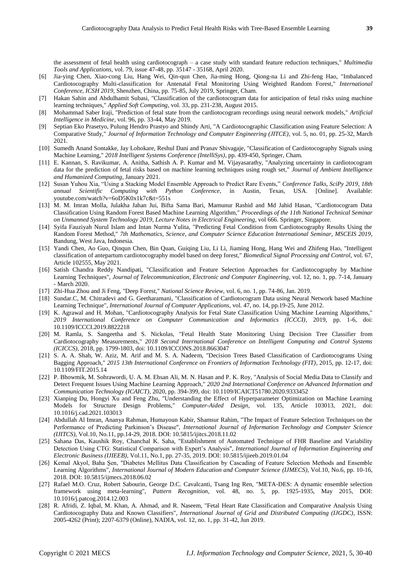the assessment of fetal health using cardiotocograph – a case study with standard feature reduction techniques," *Multimedia Tools and Applications*, vol. 79, issue 47-48, pp. 35147 - 35168, April 2020.

- [6] Jia-ying Chen, Xiao-cong Liu, Hang Wei, Qin-qun Chen, Jia-ming Hong, Qiong-na Li and Zhi-feng Hao, "Imbalanced Cardiotocography Multi-classification for Antenatal Fetal Monitoring Using Weighted Random Forest," *International Conference, ICSH 2019*, Shenzhen, China, pp. 75-85, July 2019, Springer, Cham.
- [7] Hakan Sahin and Abdulhamit Subasi, "Classification of the cardiotocogram data for anticipation of fetal risks using machine learning techniques," *Applied Soft Computing*, vol. 33, pp. 231-238, August 2015.
- [8] Mohammad Saber Iraji, "Prediction of fetal state from the cardiotocogram recordings using neural network models," *Artificial Intelligence in Medicine*, vol. 96, pp. 33-44, May 2019.
- [9] Septian Eko Prasetyo, Pulung Hendro Prastyo and Shindy Arti, "A Cardiotocographic Classification using Feature Selection: A Comparative Study," *Journal of Information Technology and Computer Engineering (JITCE)*, vol. 5, no. 01, pp. 25-32, March 2021.
- [10] Sumedh Anand Sontakke, Jay Lohokare, Reshul Dani and Pranav Shivagaje, "Classification of Cardiotocography Signals using Machine Learning," *2018 Intelligent Systems Conference (IntelliSys)*, pp. 439-450, Springer, Cham.
- [11] E. Kannan, S. Ravikumar, A. Anitha, Sathish A. P. Kumar and M. Vijayasarathy, "Analyzing uncertainty in cardiotocogram data for the prediction of fetal risks based on machine learning techniques using rough set," *Journal of Ambient Intelligence and Humanized Computing*, January 2021.
- [12] Susan Yuhou Xia, "Using a Stacking Model Ensemble Approach to Predict Rare Events," *Conference Talks, SciPy 2019, 18th annual Scientific Computing with Python Conference*, in Austin, Texas, USA. [Online]. Available: youtube.com/watch?v=6oD5K0x1k7c&t=551s
- [13] M. M. Imran Molla, Julakha Jahan Jui, Bifta Sama Bari, Mamunur Rashid and Md Jahid Hasan, "Cardiotocogram Data Classification Using Random Forest Based Machine Learning Algorithm," *Proceedings of the 11th National Technical Seminar on Unmanned System Technology 2019*, *Lecture Notes in Electrical Engineering*, vol 666. Springer, Singapore.
- [14] Syifa Fauziyah Nurul Islam and Intan Nurma Yulita, "Predicting Fetal Condition from Cardiotocography Results Using the Random Forest Method," *7th Mathematics, Science, and Computer Science Education International Seminar, MSCEIS 2019*, Bandung, West Java, Indonesia.
- [15] Yandi Chen, Ao Guo, Qinqun Chen, Bin Quan, Guiqing Liu, Li Li, Jiaming Hong, Hang Wei and Zhifeng Hao, "Intelligent classification of antepartum cardiotocography model based on deep forest," *Biomedical Signal Processing and Control*, vol. 67, Article 102555, May 2021.
- [16] Satish Chandra Reddy Nandipati, "Classification and Feature Selection Approaches for Cardiotocography by Machine Learning Techniques", *Journal of Telecommunication, Electronic and Computer Engineering*, vol. 12, no. 1, pp. 7-14, January - March 2020.
- [17] Zhi-Hua Zhou and Ji Feng, "Deep Forest," *National Science Review*, vol. 6, no. 1, pp. 74-86, Jan. 2019.
- [18] Sundar.C, M. Chitradevi and G. Geetharamani, "Classification of Cardiotocogram Data using Neural Network based Machine Learning Technique", *International Journal of Computer Applications*, vol. 47, no. 14, pp.19-25, June 2012.
- [19] K. Agrawal and H. Mohan, "Cardiotocography Analysis for Fetal State Classification Using Machine Learning Algorithms," *2019 International Conference on Computer Communication and Informatics (ICCCI)*, 2019, pp. 1-6, doi: 10.1109/ICCCI.2019.8822218
- [20] M. Ramla, S. Sangeetha and S. Nickolas, "Fetal Health State Monitoring Using Decision Tree Classifier from Cardiotocography Measurements," *2018 Second International Conference on Intelligent Computing and Control Systems (ICICCS)*, 2018, pp. 1799-1803, doi: 10.1109/ICCONS.2018.8663047
- [21] S. A. A. Shah, W. Aziz, M. Arif and M. S. A. Nadeem, "Decision Trees Based Classification of Cardiotocograms Using Bagging Approach," *2015 13th International Conference on Frontiers of Information Technology (FIT)*, 2015, pp. 12-17, doi: 10.1109/FIT.2015.14
- [22] P. Bhowmik, M. Sohrawordi, U. A. M. Ehsan Ali, M. N. Hasan and P. K. Roy, "Analysis of Social Media Data to Classify and Detect Frequent Issues Using Machine Learning Approach," *2020 2nd International Conference on Advanced Information and Communication Technology (ICAICT)*, 2020, pp. 394-399, doi: 10.1109/ICAICT51780.2020.9333452
- [23] Xianping Du, Hongyi Xu and Feng Zhu, "Understanding the Effect of Hyperparameter Optimization on Machine Learning Models for Structure Design Problems," *Computer-Aided Design*, vol. 135, Article 103013, 2021, doi: 10.1016/j.cad.2021.103013
- [24] Abdullah Al Imran, Ananya Rahman, Humayoun Kabir, Shamsur Rahim, "The Impact of Feature Selection Techniques on the Performance of Predicting Parkinson's Disease", *International Journal of Information Technology and Computer Science (IJITCS)*, Vol.10, No.11, pp.14-29, 2018. DOI: 10.5815/ijitcs.2018.11.02
- [25] Sahana Das, Kaushik Roy, Chanchal K. Saha, "Establishment of Automated Technique of FHR Baseline and Variability Detection Using CTG: Statistical Comparison with Expert's Analysis", *International Journal of Information Engineering and Electronic Business (IJIEEB)*, Vol.11, No.1, pp. 27-35, 2019. DOI: 10.5815/ijieeb.2019.01.04
- [26] Kemal Akyol, Baha Şen, "Diabetes Mellitus Data Classification by Cascading of Feature Selection Methods and Ensemble Learning Algorithms", *International Journal of Modern Education and Computer Science (IJMECS)*, Vol.10, No.6, pp. 10-16, 2018. DOI: 10.5815/ijmecs.2018.06.02
- [27] Rafael M.O. Cruz, Robert Sabourin, George D.C. Cavalcanti, Tsang Ing Ren, "META-DES: A dynamic ensemble selection framework using meta-learning", *Pattern Recognition*, vol. 48, no. 5, pp. 1925-1935, May 2015, DOI: 10.1016/j.patcog.2014.12.003
- [28] R. Afridi, Z. Iqbal, M. Khan, A. Ahmad, and R. Naseem, "Fetal Heart Rate Classification and Comparative Analysis Using Cardiotocography Data and Known Classifiers", *International Journal of Grid and Distributed Computing (IJGDC)*, ISSN: 2005-4262 (Print); 2207-6379 (Online), NADIA, vol. 12, no. 1, pp. 31-42, Jun 2019.